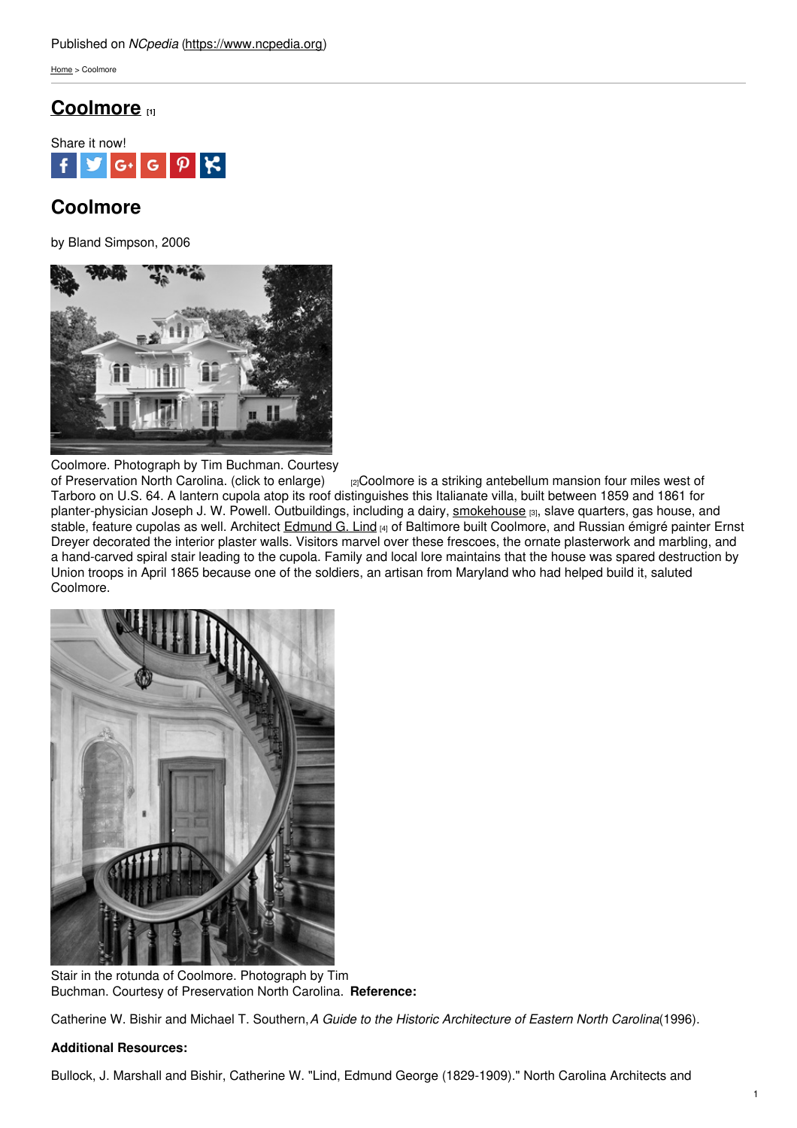[Home](https://www.ncpedia.org/) > Coolmore

## **[Coolmore](https://www.ncpedia.org/coolmore) [1]**



# **Coolmore**

by Bland Simpson, 2006



Coolmore. Photograph by Tim Buchman. Courtesy

of [Preservation](https://www.ncpedia.org/sites/default/files/images/enc/IC-36.png) North Carolina. (click to enlarge) <sub>[2]</sub>Coolmore is a striking antebellum mansion four miles west of Tarboro on U.S. 64. A lantern cupola atop its roof distinguishes this Italianate villa, built between 1859 and 1861 for planter-physician Joseph J. W. Powell. Outbuildings, including a dairy, [smokehouse](https://www.ncpedia.org/smokehouses) [3], slave quarters, gas house, and stable, feature cupolas as well. Architect [Edmund](http://ncarchitects.lib.ncsu.edu/people/P000050) G. Lind [4] of Baltimore built Coolmore, and Russian émigré painter Ernst Dreyer decorated the interior plaster walls. Visitors marvel over these frescoes, the ornate plasterwork and marbling, and a hand-carved spiral stair leading to the cupola. Family and local lore maintains that the house was spared destruction by Union troops in April 1865 because one of the soldiers, an artisan from Maryland who had helped build it, saluted Coolmore.



Stair in the rotunda of Coolmore. Photograph by Tim Buchman. Courtesy of Preservation North Carolina. **Reference:**

Catherine W. Bishir and Michael T. Southern,*A Guide to the Historic Architecture of Eastern North Carolina*(1996).

### **Additional Resources:**

Bullock, J. Marshall and Bishir, Catherine W. "Lind, Edmund George (1829-1909)." North Carolina Architects and